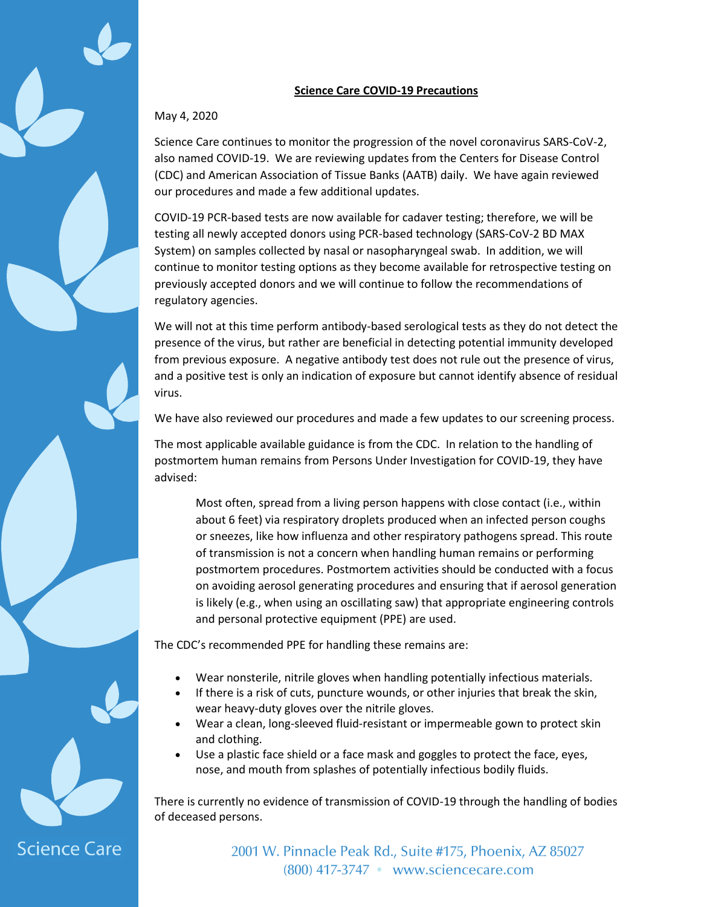## **Science Care COVID-19 Precautions**

## May 4, 2020

**Science Care** 

Science Care continues to monitor the progression of the novel coronavirus SARS-CoV-2, also named COVID-19. We are reviewing updates from the Centers for Disease Control (CDC) and American Association of Tissue Banks (AATB) daily. We have again reviewed our procedures and made a few additional updates.

COVID-19 PCR-based tests are now available for cadaver testing; therefore, we will be testing all newly accepted donors using PCR-based technology (SARS-CoV-2 BD MAX System) on samples collected by nasal or nasopharyngeal swab. In addition, we will continue to monitor testing options as they become available for retrospective testing on previously accepted donors and we will continue to follow the recommendations of regulatory agencies.

We will not at this time perform antibody-based serological tests as they do not detect the presence of the virus, but rather are beneficial in detecting potential immunity developed from previous exposure. A negative antibody test does not rule out the presence of virus, and a positive test is only an indication of exposure but cannot identify absence of residual virus.

We have also reviewed our procedures and made a few updates to our screening process.

The most applicable available guidance is from the CDC. In relation to the handling of postmortem human remains from Persons Under Investigation for COVID-19, they have advised:

Most often, spread from a living person happens with close contact (i.e., within about 6 feet) via respiratory droplets produced when an infected person coughs or sneezes, like how influenza and other respiratory pathogens spread. This route of transmission is not a concern when handling human remains or performing postmortem procedures. Postmortem activities should be conducted with a focus on avoiding aerosol generating procedures and ensuring that if aerosol generation is likely (e.g., when using an oscillating saw) that appropriate engineering controls and personal protective equipment (PPE) are used.

The CDC's recommended PPE for handling these remains are:

- Wear nonsterile, nitrile gloves when handling potentially infectious materials.
- If there is a risk of cuts, puncture wounds, or other injuries that break the skin, wear heavy-duty gloves over the nitrile gloves.
- Wear a clean, long-sleeved fluid-resistant or impermeable gown to protect skin and clothing.
- Use a plastic face shield or a face mask and goggles to protect the face, eyes, nose, and mouth from splashes of potentially infectious bodily fluids.

There is currently no evidence of transmission of COVID-19 through the handling of bodies of deceased persons.

> 2001 W. Pinnacle Peak Rd., Suite #175, Phoenix, AZ 85027 (800) 417-3747 • www.sciencecare.com